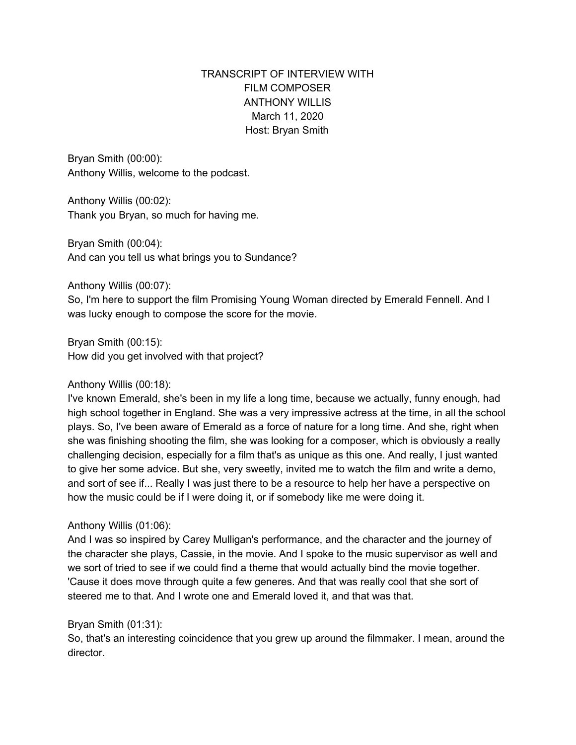# TRANSCRIPT OF INTERVIEW WITH FILM COMPOSER ANTHONY WILLIS March 11, 2020 Host: Bryan Smith

Bryan Smith (00:00): Anthony Willis, welcome to the podcast.

Anthony Willis (00:02): Thank you Bryan, so much for having me.

Bryan Smith (00:04): And can you tell us what brings you to Sundance?

Anthony Willis (00:07):

So, I'm here to support the film Promising Young Woman directed by Emerald Fennell. And I was lucky enough to compose the score for the movie.

Bryan Smith (00:15): How did you get involved with that project?

## Anthony Willis (00:18):

I've known Emerald, she's been in my life a long time, because we actually, funny enough, had high school together in England. She was a very impressive actress at the time, in all the school plays. So, I've been aware of Emerald as a force of nature for a long time. And she, right when she was finishing shooting the film, she was looking for a composer, which is obviously a really challenging decision, especially for a film that's as unique as this one. And really, I just wanted to give her some advice. But she, very sweetly, invited me to watch the film and write a demo, and sort of see if... Really I was just there to be a resource to help her have a perspective on how the music could be if I were doing it, or if somebody like me were doing it.

## Anthony Willis (01:06):

And I was so inspired by Carey Mulligan's performance, and the character and the journey of the character she plays, Cassie, in the movie. And I spoke to the music supervisor as well and we sort of tried to see if we could find a theme that would actually bind the movie together. 'Cause it does move through quite a few generes. And that was really cool that she sort of steered me to that. And I wrote one and Emerald loved it, and that was that.

## Bryan Smith (01:31):

So, that's an interesting coincidence that you grew up around the filmmaker. I mean, around the director.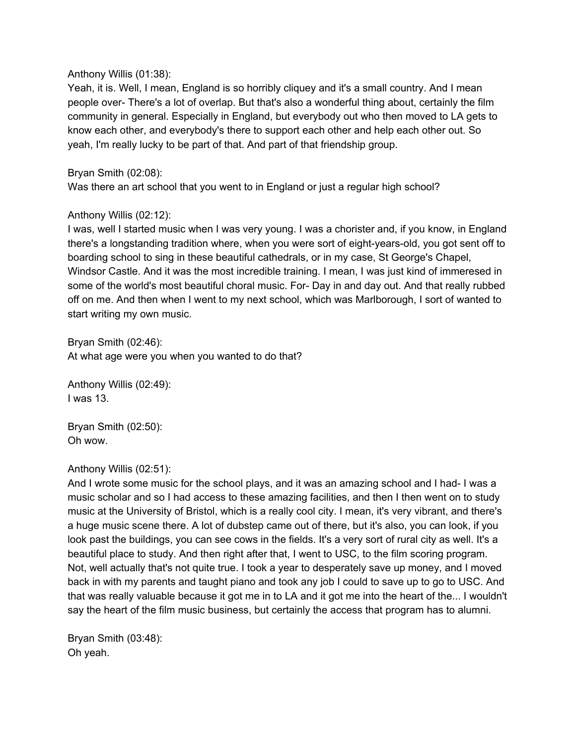#### Anthony Willis (01:38):

Yeah, it is. Well, I mean, England is so horribly cliquey and it's a small country. And I mean people over- There's a lot of overlap. But that's also a wonderful thing about, certainly the film community in general. Especially in England, but everybody out who then moved to LA gets to know each other, and everybody's there to support each other and help each other out. So yeah, I'm really lucky to be part of that. And part of that friendship group.

## Bryan Smith (02:08):

Was there an art school that you went to in England or just a regular high school?

## Anthony Willis (02:12):

I was, well I started music when I was very young. I was a chorister and, if you know, in England there's a longstanding tradition where, when you were sort of eight-years-old, you got sent off to boarding school to sing in these beautiful cathedrals, or in my case, St George's Chapel, Windsor Castle. And it was the most incredible training. I mean, I was just kind of immeresed in some of the world's most beautiful choral music. For- Day in and day out. And that really rubbed off on me. And then when I went to my next school, which was Marlborough, I sort of wanted to start writing my own music.

Bryan Smith (02:46): At what age were you when you wanted to do that?

Anthony Willis (02:49): I was 13.

Bryan Smith (02:50): Oh wow.

## Anthony Willis (02:51):

And I wrote some music for the school plays, and it was an amazing school and I had- I was a music scholar and so I had access to these amazing facilities, and then I then went on to study music at the University of Bristol, which is a really cool city. I mean, it's very vibrant, and there's a huge music scene there. A lot of dubstep came out of there, but it's also, you can look, if you look past the buildings, you can see cows in the fields. It's a very sort of rural city as well. It's a beautiful place to study. And then right after that, I went to USC, to the film scoring program. Not, well actually that's not quite true. I took a year to desperately save up money, and I moved back in with my parents and taught piano and took any job I could to save up to go to USC. And that was really valuable because it got me in to LA and it got me into the heart of the... I wouldn't say the heart of the film music business, but certainly the access that program has to alumni.

Bryan Smith (03:48): Oh yeah.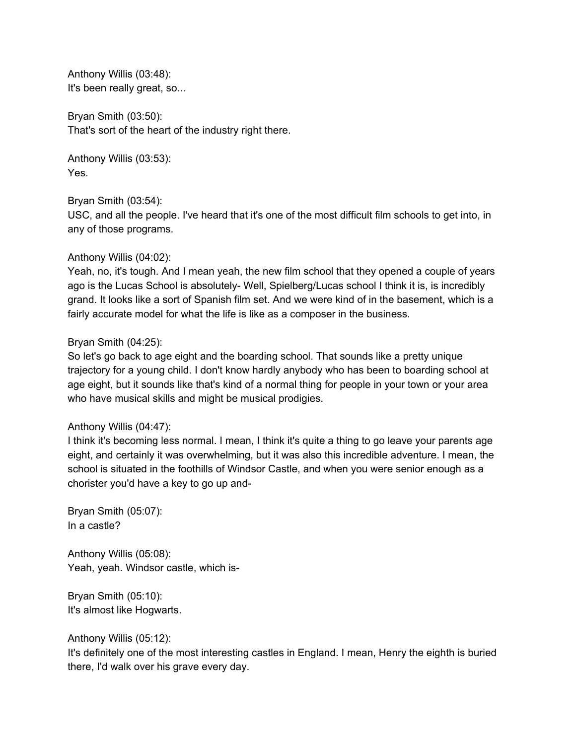Anthony Willis (03:48): It's been really great, so...

Bryan Smith (03:50): That's sort of the heart of the industry right there.

Anthony Willis (03:53): Yes.

Bryan Smith (03:54):

USC, and all the people. I've heard that it's one of the most difficult film schools to get into, in any of those programs.

## Anthony Willis (04:02):

Yeah, no, it's tough. And I mean yeah, the new film school that they opened a couple of years ago is the Lucas School is absolutely- Well, Spielberg/Lucas school I think it is, is incredibly grand. It looks like a sort of Spanish film set. And we were kind of in the basement, which is a fairly accurate model for what the life is like as a composer in the business.

#### Bryan Smith (04:25):

So let's go back to age eight and the boarding school. That sounds like a pretty unique trajectory for a young child. I don't know hardly anybody who has been to boarding school at age eight, but it sounds like that's kind of a normal thing for people in your town or your area who have musical skills and might be musical prodigies.

#### Anthony Willis (04:47):

I think it's becoming less normal. I mean, I think it's quite a thing to go leave your parents age eight, and certainly it was overwhelming, but it was also this incredible adventure. I mean, the school is situated in the foothills of Windsor Castle, and when you were senior enough as a chorister you'd have a key to go up and-

Bryan Smith (05:07): In a castle?

Anthony Willis (05:08): Yeah, yeah. Windsor castle, which is-

Bryan Smith (05:10): It's almost like Hogwarts.

## Anthony Willis (05:12):

It's definitely one of the most interesting castles in England. I mean, Henry the eighth is buried there, I'd walk over his grave every day.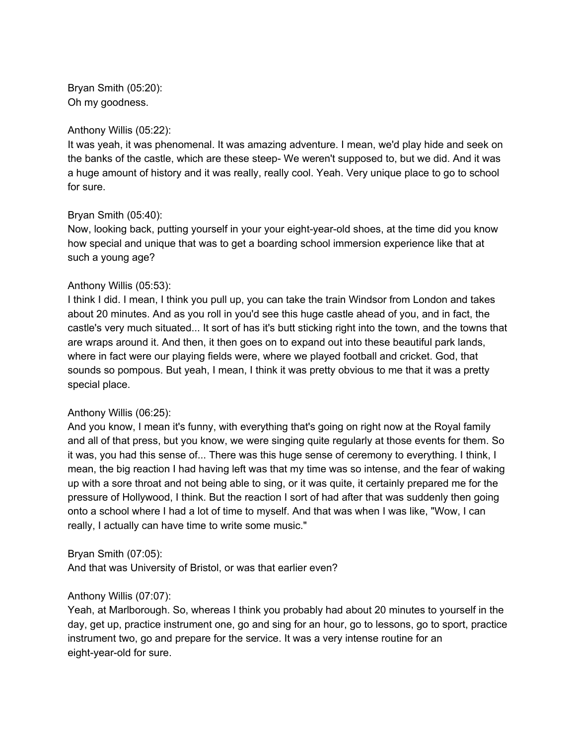Bryan Smith (05:20): Oh my goodness.

#### Anthony Willis (05:22):

It was yeah, it was phenomenal. It was amazing adventure. I mean, we'd play hide and seek on the banks of the castle, which are these steep- We weren't supposed to, but we did. And it was a huge amount of history and it was really, really cool. Yeah. Very unique place to go to school for sure.

## Bryan Smith (05:40):

Now, looking back, putting yourself in your your eight-year-old shoes, at the time did you know how special and unique that was to get a boarding school immersion experience like that at such a young age?

### Anthony Willis (05:53):

I think I did. I mean, I think you pull up, you can take the train Windsor from London and takes about 20 minutes. And as you roll in you'd see this huge castle ahead of you, and in fact, the castle's very much situated... It sort of has it's butt sticking right into the town, and the towns that are wraps around it. And then, it then goes on to expand out into these beautiful park lands, where in fact were our playing fields were, where we played football and cricket. God, that sounds so pompous. But yeah, I mean, I think it was pretty obvious to me that it was a pretty special place.

#### Anthony Willis (06:25):

And you know, I mean it's funny, with everything that's going on right now at the Royal family and all of that press, but you know, we were singing quite regularly at those events for them. So it was, you had this sense of... There was this huge sense of ceremony to everything. I think, I mean, the big reaction I had having left was that my time was so intense, and the fear of waking up with a sore throat and not being able to sing, or it was quite, it certainly prepared me for the pressure of Hollywood, I think. But the reaction I sort of had after that was suddenly then going onto a school where I had a lot of time to myself. And that was when I was like, "Wow, I can really, I actually can have time to write some music."

#### Bryan Smith (07:05):

And that was University of Bristol, or was that earlier even?

## Anthony Willis (07:07):

Yeah, at Marlborough. So, whereas I think you probably had about 20 minutes to yourself in the day, get up, practice instrument one, go and sing for an hour, go to lessons, go to sport, practice instrument two, go and prepare for the service. It was a very intense routine for an eight-year-old for sure.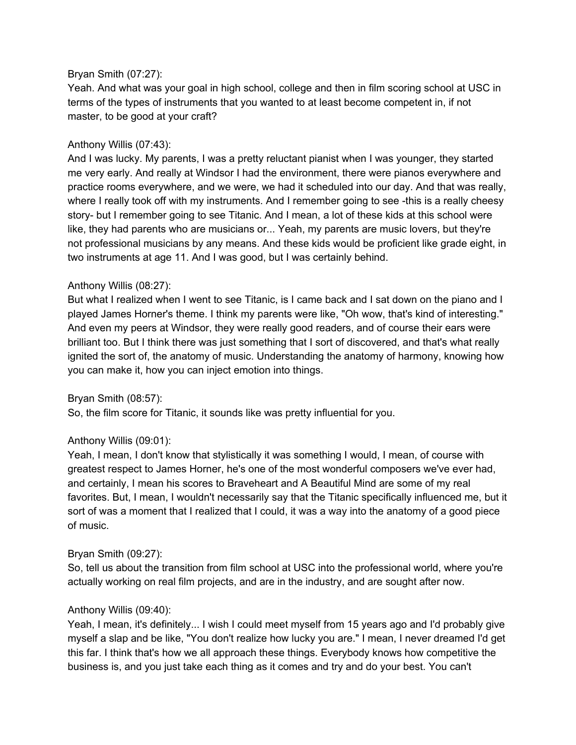#### Bryan Smith (07:27):

Yeah. And what was your goal in high school, college and then in film scoring school at USC in terms of the types of instruments that you wanted to at least become competent in, if not master, to be good at your craft?

### Anthony Willis (07:43):

And I was lucky. My parents, I was a pretty reluctant pianist when I was younger, they started me very early. And really at Windsor I had the environment, there were pianos everywhere and practice rooms everywhere, and we were, we had it scheduled into our day. And that was really, where I really took off with my instruments. And I remember going to see -this is a really cheesy story- but I remember going to see Titanic. And I mean, a lot of these kids at this school were like, they had parents who are musicians or... Yeah, my parents are music lovers, but they're not professional musicians by any means. And these kids would be proficient like grade eight, in two instruments at age 11. And I was good, but I was certainly behind.

### Anthony Willis (08:27):

But what I realized when I went to see Titanic, is I came back and I sat down on the piano and I played James Horner's theme. I think my parents were like, "Oh wow, that's kind of interesting." And even my peers at Windsor, they were really good readers, and of course their ears were brilliant too. But I think there was just something that I sort of discovered, and that's what really ignited the sort of, the anatomy of music. Understanding the anatomy of harmony, knowing how you can make it, how you can inject emotion into things.

#### Bryan Smith (08:57):

So, the film score for Titanic, it sounds like was pretty influential for you.

## Anthony Willis (09:01):

Yeah, I mean, I don't know that stylistically it was something I would, I mean, of course with greatest respect to James Horner, he's one of the most wonderful composers we've ever had, and certainly, I mean his scores to Braveheart and A Beautiful Mind are some of my real favorites. But, I mean, I wouldn't necessarily say that the Titanic specifically influenced me, but it sort of was a moment that I realized that I could, it was a way into the anatomy of a good piece of music.

#### Bryan Smith (09:27):

So, tell us about the transition from film school at USC into the professional world, where you're actually working on real film projects, and are in the industry, and are sought after now.

#### Anthony Willis (09:40):

Yeah, I mean, it's definitely... I wish I could meet myself from 15 years ago and I'd probably give myself a slap and be like, "You don't realize how lucky you are." I mean, I never dreamed I'd get this far. I think that's how we all approach these things. Everybody knows how competitive the business is, and you just take each thing as it comes and try and do your best. You can't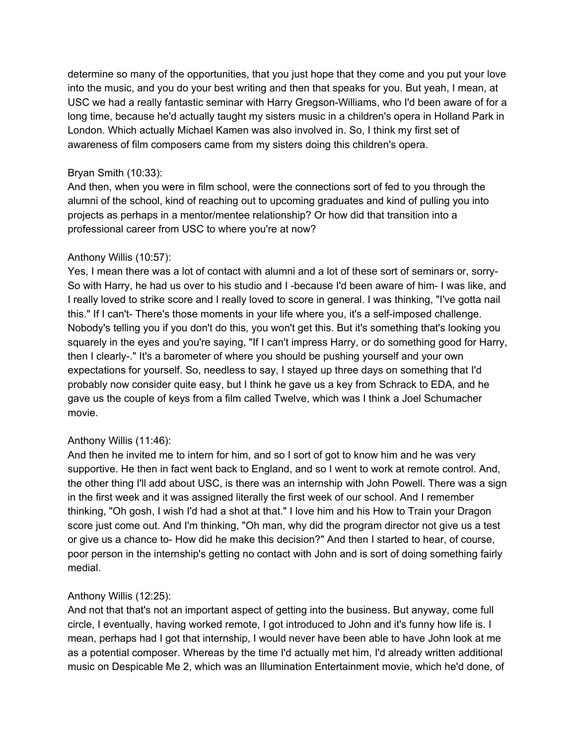determine so many of the opportunities, that you just hope that they come and you put your love into the music, and you do your best writing and then that speaks for you. But yeah, I mean, at USC we had a really fantastic seminar with Harry Gregson-Williams, who I'd been aware of for a long time, because he'd actually taught my sisters music in a children's opera in Holland Park in London. Which actually Michael Kamen was also involved in. So, I think my first set of awareness of film composers came from my sisters doing this children's opera.

### Bryan Smith (10:33):

And then, when you were in film school, were the connections sort of fed to you through the alumni of the school, kind of reaching out to upcoming graduates and kind of pulling you into projects as perhaps in a mentor/mentee relationship? Or how did that transition into a professional career from USC to where you're at now?

## Anthony Willis (10:57):

Yes, I mean there was a lot of contact with alumni and a lot of these sort of seminars or, sorry-So with Harry, he had us over to his studio and I -because I'd been aware of him- I was like, and I really loved to strike score and I really loved to score in general. I was thinking, "I've gotta nail this." If I can't- There's those moments in your life where you, it's a self-imposed challenge. Nobody's telling you if you don't do this, you won't get this. But it's something that's looking you squarely in the eyes and you're saying, "If I can't impress Harry, or do something good for Harry, then I clearly-." It's a barometer of where you should be pushing yourself and your own expectations for yourself. So, needless to say, I stayed up three days on something that I'd probably now consider quite easy, but I think he gave us a key from Schrack to EDA, and he gave us the couple of keys from a film called Twelve, which was I think a Joel Schumacher movie.

## Anthony Willis (11:46):

And then he invited me to intern for him, and so I sort of got to know him and he was very supportive. He then in fact went back to England, and so I went to work at remote control. And, the other thing I'll add about USC, is there was an internship with John Powell. There was a sign in the first week and it was assigned literally the first week of our school. And I remember thinking, "Oh gosh, I wish I'd had a shot at that." I love him and his How to Train your Dragon score just come out. And I'm thinking, "Oh man, why did the program director not give us a test or give us a chance to- How did he make this decision?" And then I started to hear, of course, poor person in the internship's getting no contact with John and is sort of doing something fairly medial.

## Anthony Willis (12:25):

And not that that's not an important aspect of getting into the business. But anyway, come full circle, I eventually, having worked remote, I got introduced to John and it's funny how life is. I mean, perhaps had I got that internship, I would never have been able to have John look at me as a potential composer. Whereas by the time I'd actually met him, I'd already written additional music on Despicable Me 2, which was an Illumination Entertainment movie, which he'd done, of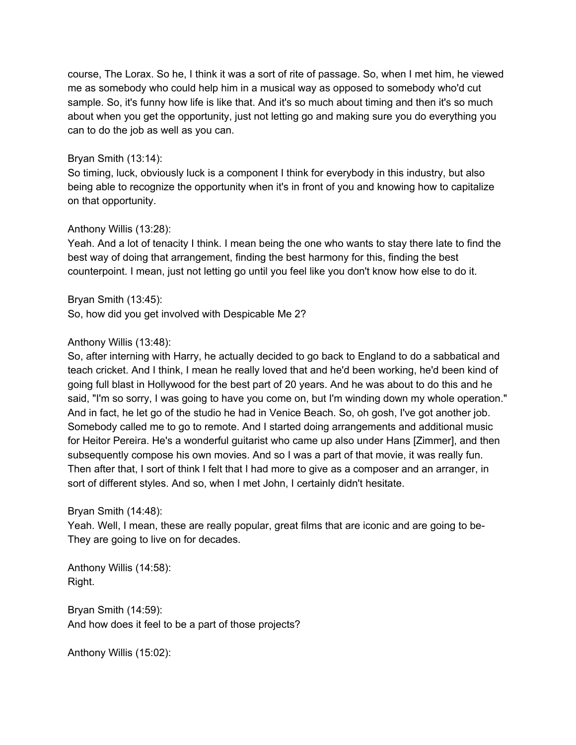course, The Lorax. So he, I think it was a sort of rite of passage. So, when I met him, he viewed me as somebody who could help him in a musical way as opposed to somebody who'd cut sample. So, it's funny how life is like that. And it's so much about timing and then it's so much about when you get the opportunity, just not letting go and making sure you do everything you can to do the job as well as you can.

### Bryan Smith (13:14):

So timing, luck, obviously luck is a component I think for everybody in this industry, but also being able to recognize the opportunity when it's in front of you and knowing how to capitalize on that opportunity.

### Anthony Willis (13:28):

Yeah. And a lot of tenacity I think. I mean being the one who wants to stay there late to find the best way of doing that arrangement, finding the best harmony for this, finding the best counterpoint. I mean, just not letting go until you feel like you don't know how else to do it.

Bryan Smith (13:45): So, how did you get involved with Despicable Me 2?

### Anthony Willis (13:48):

So, after interning with Harry, he actually decided to go back to England to do a sabbatical and teach cricket. And I think, I mean he really loved that and he'd been working, he'd been kind of going full blast in Hollywood for the best part of 20 years. And he was about to do this and he said, "I'm so sorry, I was going to have you come on, but I'm winding down my whole operation." And in fact, he let go of the studio he had in Venice Beach. So, oh gosh, I've got another job. Somebody called me to go to remote. And I started doing arrangements and additional music for Heitor Pereira. He's a wonderful guitarist who came up also under Hans [Zimmer], and then subsequently compose his own movies. And so I was a part of that movie, it was really fun. Then after that, I sort of think I felt that I had more to give as a composer and an arranger, in sort of different styles. And so, when I met John, I certainly didn't hesitate.

## Bryan Smith (14:48):

Yeah. Well, I mean, these are really popular, great films that are iconic and are going to be-They are going to live on for decades.

Anthony Willis (14:58): Right.

Bryan Smith (14:59): And how does it feel to be a part of those projects?

Anthony Willis (15:02):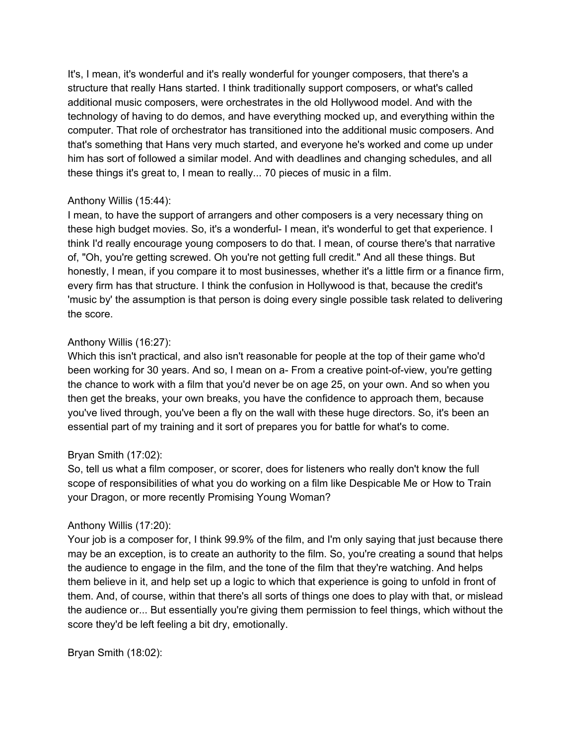It's, I mean, it's wonderful and it's really wonderful for younger composers, that there's a structure that really Hans started. I think traditionally support composers, or what's called additional music composers, were orchestrates in the old Hollywood model. And with the technology of having to do demos, and have everything mocked up, and everything within the computer. That role of orchestrator has transitioned into the additional music composers. And that's something that Hans very much started, and everyone he's worked and come up under him has sort of followed a similar model. And with deadlines and changing schedules, and all these things it's great to, I mean to really... 70 pieces of music in a film.

## Anthony Willis (15:44):

I mean, to have the support of arrangers and other composers is a very necessary thing on these high budget movies. So, it's a wonderful- I mean, it's wonderful to get that experience. I think I'd really encourage young composers to do that. I mean, of course there's that narrative of, "Oh, you're getting screwed. Oh you're not getting full credit." And all these things. But honestly, I mean, if you compare it to most businesses, whether it's a little firm or a finance firm, every firm has that structure. I think the confusion in Hollywood is that, because the credit's 'music by' the assumption is that person is doing every single possible task related to delivering the score.

### Anthony Willis (16:27):

Which this isn't practical, and also isn't reasonable for people at the top of their game who'd been working for 30 years. And so, I mean on a- From a creative point-of-view, you're getting the chance to work with a film that you'd never be on age 25, on your own. And so when you then get the breaks, your own breaks, you have the confidence to approach them, because you've lived through, you've been a fly on the wall with these huge directors. So, it's been an essential part of my training and it sort of prepares you for battle for what's to come.

## Bryan Smith (17:02):

So, tell us what a film composer, or scorer, does for listeners who really don't know the full scope of responsibilities of what you do working on a film like Despicable Me or How to Train your Dragon, or more recently Promising Young Woman?

## Anthony Willis (17:20):

Your job is a composer for, I think 99.9% of the film, and I'm only saying that just because there may be an exception, is to create an authority to the film. So, you're creating a sound that helps the audience to engage in the film, and the tone of the film that they're watching. And helps them believe in it, and help set up a logic to which that experience is going to unfold in front of them. And, of course, within that there's all sorts of things one does to play with that, or mislead the audience or... But essentially you're giving them permission to feel things, which without the score they'd be left feeling a bit dry, emotionally.

Bryan Smith (18:02):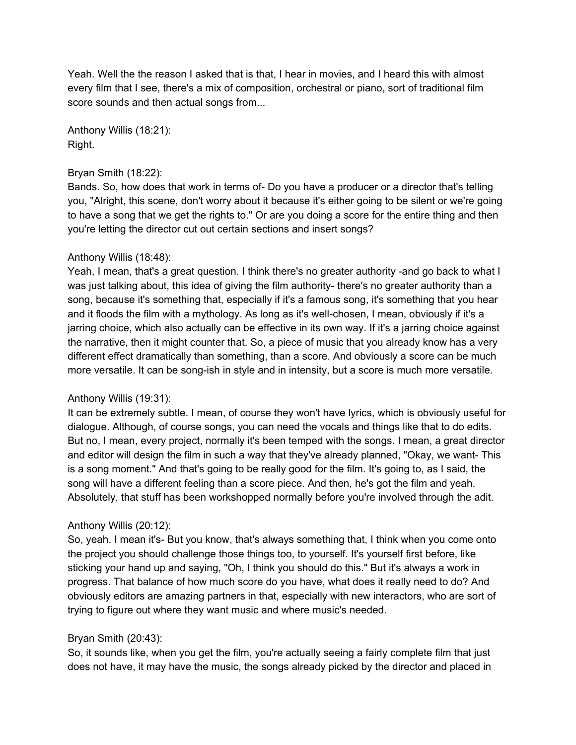Yeah. Well the the reason I asked that is that, I hear in movies, and I heard this with almost every film that I see, there's a mix of composition, orchestral or piano, sort of traditional film score sounds and then actual songs from...

Anthony Willis (18:21): Right.

#### Bryan Smith (18:22):

Bands. So, how does that work in terms of- Do you have a producer or a director that's telling you, "Alright, this scene, don't worry about it because it's either going to be silent or we're going to have a song that we get the rights to." Or are you doing a score for the entire thing and then you're letting the director cut out certain sections and insert songs?

### Anthony Willis (18:48):

Yeah, I mean, that's a great question. I think there's no greater authority -and go back to what I was just talking about, this idea of giving the film authority- there's no greater authority than a song, because it's something that, especially if it's a famous song, it's something that you hear and it floods the film with a mythology. As long as it's well-chosen, I mean, obviously if it's a jarring choice, which also actually can be effective in its own way. If it's a jarring choice against the narrative, then it might counter that. So, a piece of music that you already know has a very different effect dramatically than something, than a score. And obviously a score can be much more versatile. It can be song-ish in style and in intensity, but a score is much more versatile.

#### Anthony Willis (19:31):

It can be extremely subtle. I mean, of course they won't have lyrics, which is obviously useful for dialogue. Although, of course songs, you can need the vocals and things like that to do edits. But no, I mean, every project, normally it's been temped with the songs. I mean, a great director and editor will design the film in such a way that they've already planned, "Okay, we want- This is a song moment." And that's going to be really good for the film. It's going to, as I said, the song will have a different feeling than a score piece. And then, he's got the film and yeah. Absolutely, that stuff has been workshopped normally before you're involved through the adit.

## Anthony Willis (20:12):

So, yeah. I mean it's- But you know, that's always something that, I think when you come onto the project you should challenge those things too, to yourself. It's yourself first before, like sticking your hand up and saying, "Oh, I think you should do this." But it's always a work in progress. That balance of how much score do you have, what does it really need to do? And obviously editors are amazing partners in that, especially with new interactors, who are sort of trying to figure out where they want music and where music's needed.

#### Bryan Smith (20:43):

So, it sounds like, when you get the film, you're actually seeing a fairly complete film that just does not have, it may have the music, the songs already picked by the director and placed in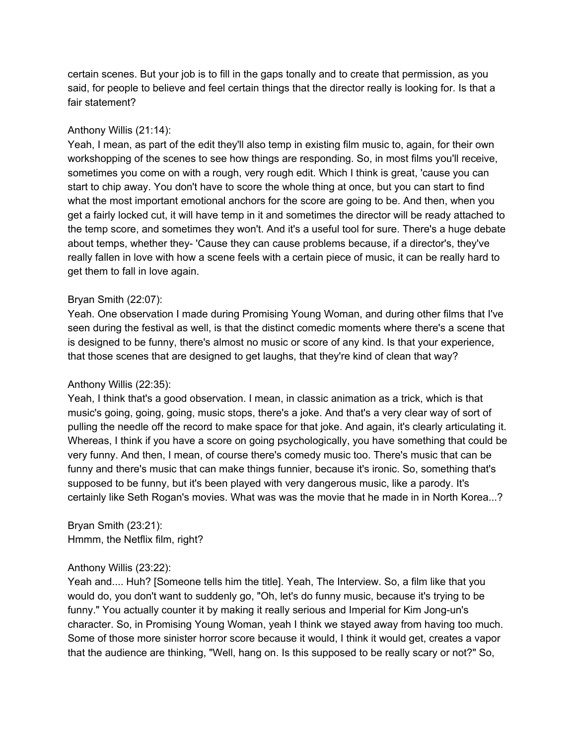certain scenes. But your job is to fill in the gaps tonally and to create that permission, as you said, for people to believe and feel certain things that the director really is looking for. Is that a fair statement?

#### Anthony Willis (21:14):

Yeah, I mean, as part of the edit they'll also temp in existing film music to, again, for their own workshopping of the scenes to see how things are responding. So, in most films you'll receive, sometimes you come on with a rough, very rough edit. Which I think is great, 'cause you can start to chip away. You don't have to score the whole thing at once, but you can start to find what the most important emotional anchors for the score are going to be. And then, when you get a fairly locked cut, it will have temp in it and sometimes the director will be ready attached to the temp score, and sometimes they won't. And it's a useful tool for sure. There's a huge debate about temps, whether they- 'Cause they can cause problems because, if a director's, they've really fallen in love with how a scene feels with a certain piece of music, it can be really hard to get them to fall in love again.

#### Bryan Smith (22:07):

Yeah. One observation I made during Promising Young Woman, and during other films that I've seen during the festival as well, is that the distinct comedic moments where there's a scene that is designed to be funny, there's almost no music or score of any kind. Is that your experience, that those scenes that are designed to get laughs, that they're kind of clean that way?

#### Anthony Willis (22:35):

Yeah, I think that's a good observation. I mean, in classic animation as a trick, which is that music's going, going, going, music stops, there's a joke. And that's a very clear way of sort of pulling the needle off the record to make space for that joke. And again, it's clearly articulating it. Whereas, I think if you have a score on going psychologically, you have something that could be very funny. And then, I mean, of course there's comedy music too. There's music that can be funny and there's music that can make things funnier, because it's ironic. So, something that's supposed to be funny, but it's been played with very dangerous music, like a parody. It's certainly like Seth Rogan's movies. What was was the movie that he made in in North Korea...?

Bryan Smith (23:21): Hmmm, the Netflix film, right?

#### Anthony Willis (23:22):

Yeah and.... Huh? [Someone tells him the title]. Yeah, The Interview. So, a film like that you would do, you don't want to suddenly go, "Oh, let's do funny music, because it's trying to be funny." You actually counter it by making it really serious and Imperial for Kim Jong-un's character. So, in Promising Young Woman, yeah I think we stayed away from having too much. Some of those more sinister horror score because it would, I think it would get, creates a vapor that the audience are thinking, "Well, hang on. Is this supposed to be really scary or not?" So,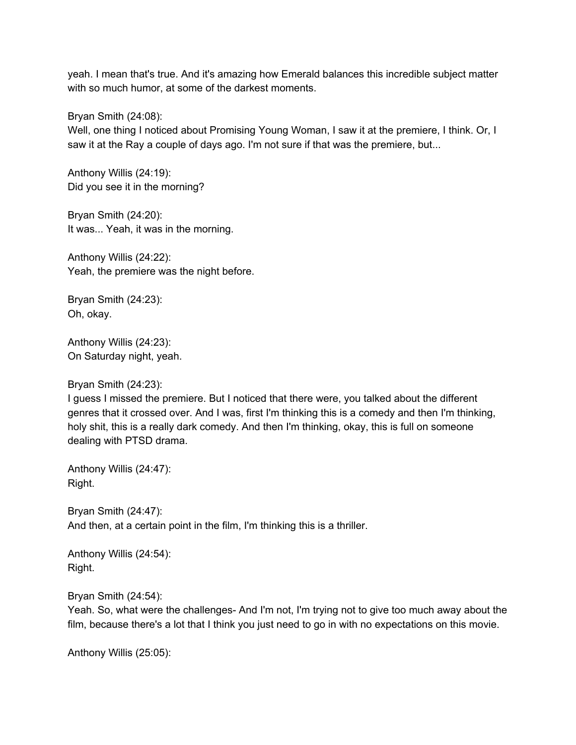yeah. I mean that's true. And it's amazing how Emerald balances this incredible subject matter with so much humor, at some of the darkest moments.

Bryan Smith (24:08):

Well, one thing I noticed about Promising Young Woman, I saw it at the premiere, I think. Or, I saw it at the Ray a couple of days ago. I'm not sure if that was the premiere, but...

Anthony Willis (24:19): Did you see it in the morning?

Bryan Smith (24:20): It was... Yeah, it was in the morning.

Anthony Willis (24:22): Yeah, the premiere was the night before.

Bryan Smith (24:23): Oh, okay.

Anthony Willis (24:23): On Saturday night, yeah.

Bryan Smith (24:23):

I guess I missed the premiere. But I noticed that there were, you talked about the different genres that it crossed over. And I was, first I'm thinking this is a comedy and then I'm thinking, holy shit, this is a really dark comedy. And then I'm thinking, okay, this is full on someone dealing with PTSD drama.

Anthony Willis (24:47): Right.

Bryan Smith (24:47): And then, at a certain point in the film, I'm thinking this is a thriller.

Anthony Willis (24:54): Right.

Bryan Smith (24:54):

Yeah. So, what were the challenges- And I'm not, I'm trying not to give too much away about the film, because there's a lot that I think you just need to go in with no expectations on this movie.

Anthony Willis (25:05):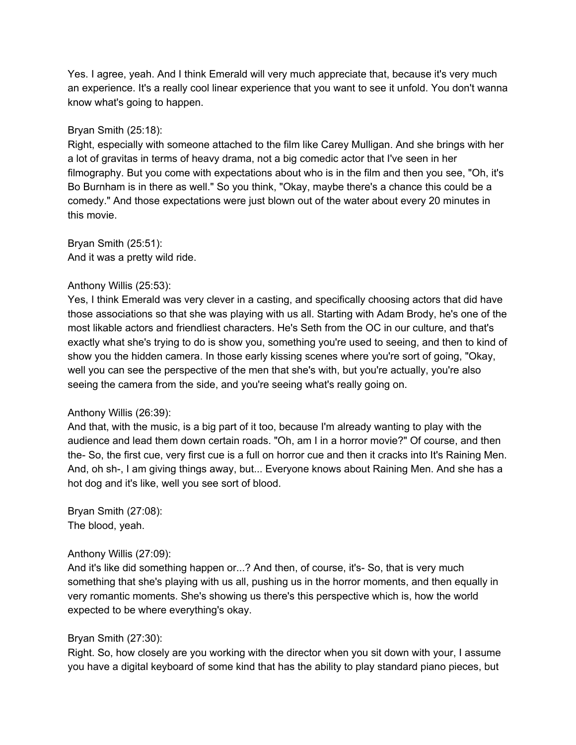Yes. I agree, yeah. And I think Emerald will very much appreciate that, because it's very much an experience. It's a really cool linear experience that you want to see it unfold. You don't wanna know what's going to happen.

#### Bryan Smith (25:18):

Right, especially with someone attached to the film like Carey Mulligan. And she brings with her a lot of gravitas in terms of heavy drama, not a big comedic actor that I've seen in her filmography. But you come with expectations about who is in the film and then you see, "Oh, it's Bo Burnham is in there as well." So you think, "Okay, maybe there's a chance this could be a comedy." And those expectations were just blown out of the water about every 20 minutes in this movie.

Bryan Smith (25:51): And it was a pretty wild ride.

### Anthony Willis (25:53):

Yes, I think Emerald was very clever in a casting, and specifically choosing actors that did have those associations so that she was playing with us all. Starting with Adam Brody, he's one of the most likable actors and friendliest characters. He's Seth from the OC in our culture, and that's exactly what she's trying to do is show you, something you're used to seeing, and then to kind of show you the hidden camera. In those early kissing scenes where you're sort of going, "Okay, well you can see the perspective of the men that she's with, but you're actually, you're also seeing the camera from the side, and you're seeing what's really going on.

#### Anthony Willis (26:39):

And that, with the music, is a big part of it too, because I'm already wanting to play with the audience and lead them down certain roads. "Oh, am I in a horror movie?" Of course, and then the- So, the first cue, very first cue is a full on horror cue and then it cracks into It's Raining Men. And, oh sh-, I am giving things away, but... Everyone knows about Raining Men. And she has a hot dog and it's like, well you see sort of blood.

Bryan Smith (27:08): The blood, yeah.

#### Anthony Willis (27:09):

And it's like did something happen or...? And then, of course, it's- So, that is very much something that she's playing with us all, pushing us in the horror moments, and then equally in very romantic moments. She's showing us there's this perspective which is, how the world expected to be where everything's okay.

## Bryan Smith (27:30):

Right. So, how closely are you working with the director when you sit down with your, I assume you have a digital keyboard of some kind that has the ability to play standard piano pieces, but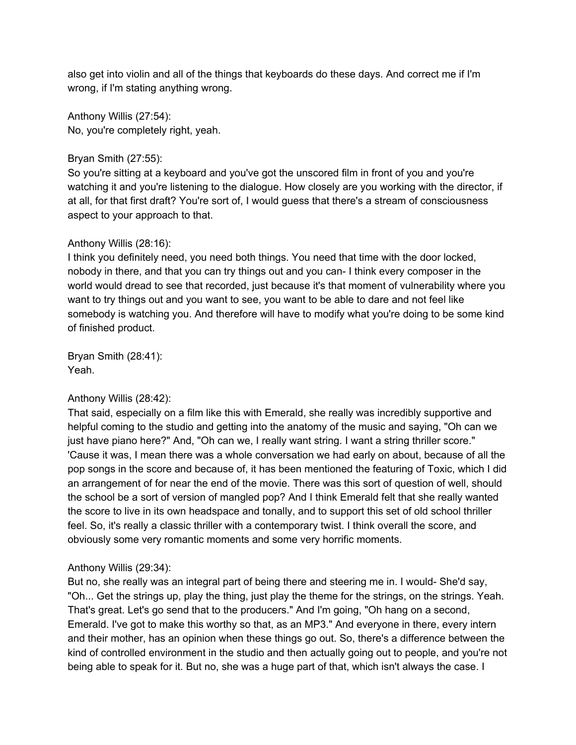also get into violin and all of the things that keyboards do these days. And correct me if I'm wrong, if I'm stating anything wrong.

Anthony Willis (27:54): No, you're completely right, yeah.

### Bryan Smith (27:55):

So you're sitting at a keyboard and you've got the unscored film in front of you and you're watching it and you're listening to the dialogue. How closely are you working with the director, if at all, for that first draft? You're sort of, I would guess that there's a stream of consciousness aspect to your approach to that.

#### Anthony Willis (28:16):

I think you definitely need, you need both things. You need that time with the door locked, nobody in there, and that you can try things out and you can- I think every composer in the world would dread to see that recorded, just because it's that moment of vulnerability where you want to try things out and you want to see, you want to be able to dare and not feel like somebody is watching you. And therefore will have to modify what you're doing to be some kind of finished product.

Bryan Smith (28:41): Yeah.

#### Anthony Willis (28:42):

That said, especially on a film like this with Emerald, she really was incredibly supportive and helpful coming to the studio and getting into the anatomy of the music and saying, "Oh can we just have piano here?" And, "Oh can we, I really want string. I want a string thriller score." 'Cause it was, I mean there was a whole conversation we had early on about, because of all the pop songs in the score and because of, it has been mentioned the featuring of Toxic, which I did an arrangement of for near the end of the movie. There was this sort of question of well, should the school be a sort of version of mangled pop? And I think Emerald felt that she really wanted the score to live in its own headspace and tonally, and to support this set of old school thriller feel. So, it's really a classic thriller with a contemporary twist. I think overall the score, and obviously some very romantic moments and some very horrific moments.

#### Anthony Willis (29:34):

But no, she really was an integral part of being there and steering me in. I would- She'd say, "Oh... Get the strings up, play the thing, just play the theme for the strings, on the strings. Yeah. That's great. Let's go send that to the producers." And I'm going, "Oh hang on a second, Emerald. I've got to make this worthy so that, as an MP3." And everyone in there, every intern and their mother, has an opinion when these things go out. So, there's a difference between the kind of controlled environment in the studio and then actually going out to people, and you're not being able to speak for it. But no, she was a huge part of that, which isn't always the case. I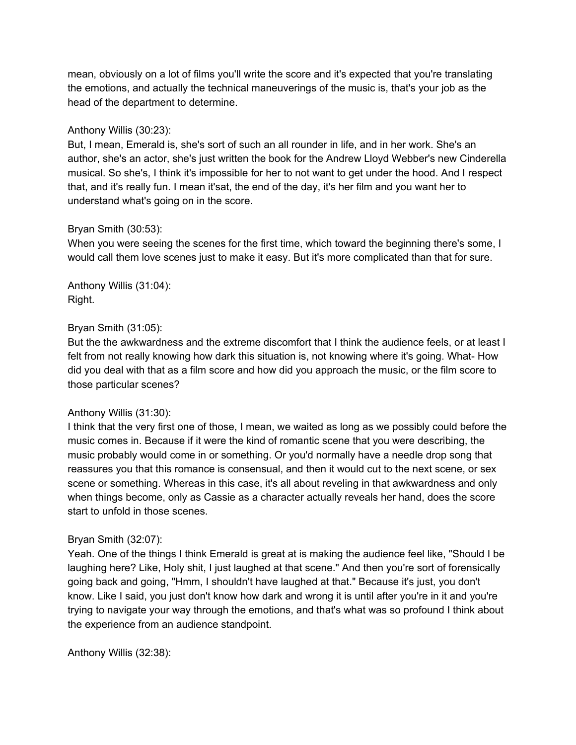mean, obviously on a lot of films you'll write the score and it's expected that you're translating the emotions, and actually the technical maneuverings of the music is, that's your job as the head of the department to determine.

### Anthony Willis (30:23):

But, I mean, Emerald is, she's sort of such an all rounder in life, and in her work. She's an author, she's an actor, she's just written the book for the Andrew Lloyd Webber's new Cinderella musical. So she's, I think it's impossible for her to not want to get under the hood. And I respect that, and it's really fun. I mean it'sat, the end of the day, it's her film and you want her to understand what's going on in the score.

### Bryan Smith (30:53):

When you were seeing the scenes for the first time, which toward the beginning there's some, I would call them love scenes just to make it easy. But it's more complicated than that for sure.

Anthony Willis (31:04): Right.

### Bryan Smith (31:05):

But the the awkwardness and the extreme discomfort that I think the audience feels, or at least I felt from not really knowing how dark this situation is, not knowing where it's going. What- How did you deal with that as a film score and how did you approach the music, or the film score to those particular scenes?

## Anthony Willis (31:30):

I think that the very first one of those, I mean, we waited as long as we possibly could before the music comes in. Because if it were the kind of romantic scene that you were describing, the music probably would come in or something. Or you'd normally have a needle drop song that reassures you that this romance is consensual, and then it would cut to the next scene, or sex scene or something. Whereas in this case, it's all about reveling in that awkwardness and only when things become, only as Cassie as a character actually reveals her hand, does the score start to unfold in those scenes.

#### Bryan Smith (32:07):

Yeah. One of the things I think Emerald is great at is making the audience feel like, "Should I be laughing here? Like, Holy shit, I just laughed at that scene." And then you're sort of forensically going back and going, "Hmm, I shouldn't have laughed at that." Because it's just, you don't know. Like I said, you just don't know how dark and wrong it is until after you're in it and you're trying to navigate your way through the emotions, and that's what was so profound I think about the experience from an audience standpoint.

Anthony Willis (32:38):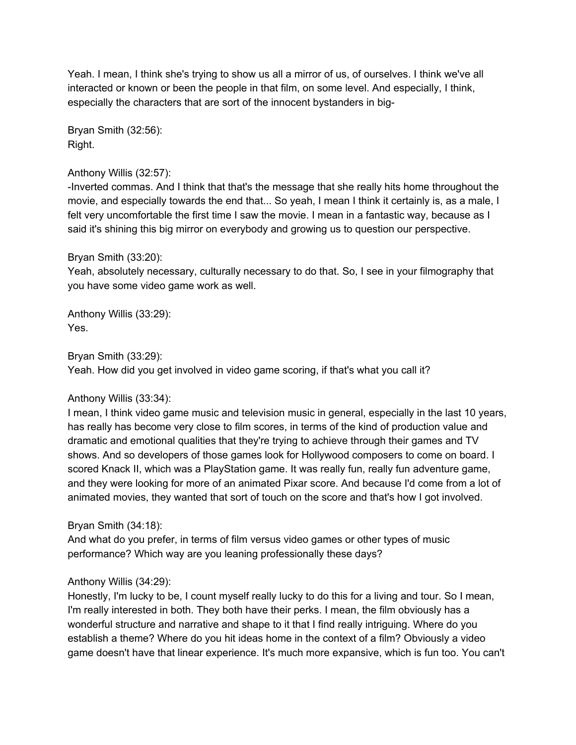Yeah. I mean, I think she's trying to show us all a mirror of us, of ourselves. I think we've all interacted or known or been the people in that film, on some level. And especially, I think, especially the characters that are sort of the innocent bystanders in big-

Bryan Smith (32:56): Right.

#### Anthony Willis (32:57):

-Inverted commas. And I think that that's the message that she really hits home throughout the movie, and especially towards the end that... So yeah, I mean I think it certainly is, as a male, I felt very uncomfortable the first time I saw the movie. I mean in a fantastic way, because as I said it's shining this big mirror on everybody and growing us to question our perspective.

### Bryan Smith (33:20):

Yeah, absolutely necessary, culturally necessary to do that. So, I see in your filmography that you have some video game work as well.

Anthony Willis (33:29): Yes.

### Bryan Smith (33:29):

Yeah. How did you get involved in video game scoring, if that's what you call it?

#### Anthony Willis (33:34):

I mean, I think video game music and television music in general, especially in the last 10 years, has really has become very close to film scores, in terms of the kind of production value and dramatic and emotional qualities that they're trying to achieve through their games and TV shows. And so developers of those games look for Hollywood composers to come on board. I scored Knack II, which was a PlayStation game. It was really fun, really fun adventure game, and they were looking for more of an animated Pixar score. And because I'd come from a lot of animated movies, they wanted that sort of touch on the score and that's how I got involved.

#### Bryan Smith (34:18):

And what do you prefer, in terms of film versus video games or other types of music performance? Which way are you leaning professionally these days?

## Anthony Willis (34:29):

Honestly, I'm lucky to be, I count myself really lucky to do this for a living and tour. So I mean, I'm really interested in both. They both have their perks. I mean, the film obviously has a wonderful structure and narrative and shape to it that I find really intriguing. Where do you establish a theme? Where do you hit ideas home in the context of a film? Obviously a video game doesn't have that linear experience. It's much more expansive, which is fun too. You can't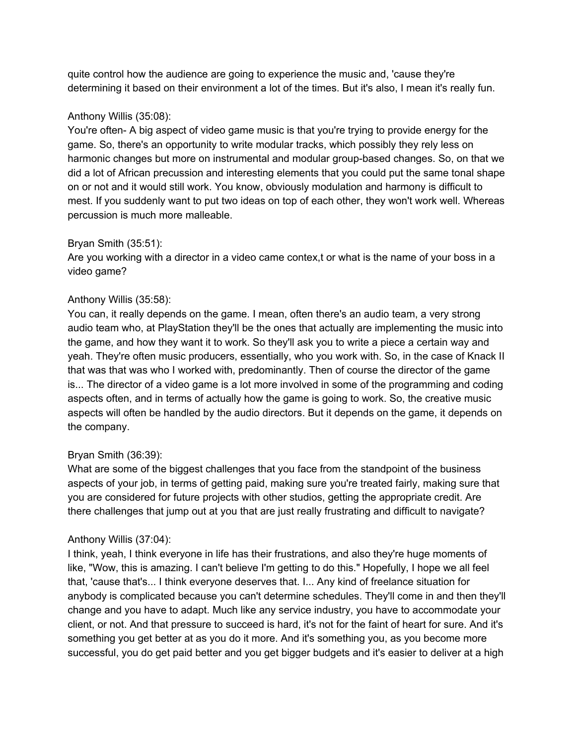quite control how the audience are going to experience the music and, 'cause they're determining it based on their environment a lot of the times. But it's also, I mean it's really fun.

## Anthony Willis (35:08):

You're often- A big aspect of video game music is that you're trying to provide energy for the game. So, there's an opportunity to write modular tracks, which possibly they rely less on harmonic changes but more on instrumental and modular group-based changes. So, on that we did a lot of African precussion and interesting elements that you could put the same tonal shape on or not and it would still work. You know, obviously modulation and harmony is difficult to mest. If you suddenly want to put two ideas on top of each other, they won't work well. Whereas percussion is much more malleable.

## Bryan Smith (35:51):

Are you working with a director in a video came contex,t or what is the name of your boss in a video game?

## Anthony Willis (35:58):

You can, it really depends on the game. I mean, often there's an audio team, a very strong audio team who, at PlayStation they'll be the ones that actually are implementing the music into the game, and how they want it to work. So they'll ask you to write a piece a certain way and yeah. They're often music producers, essentially, who you work with. So, in the case of Knack II that was that was who I worked with, predominantly. Then of course the director of the game is... The director of a video game is a lot more involved in some of the programming and coding aspects often, and in terms of actually how the game is going to work. So, the creative music aspects will often be handled by the audio directors. But it depends on the game, it depends on the company.

# Bryan Smith (36:39):

What are some of the biggest challenges that you face from the standpoint of the business aspects of your job, in terms of getting paid, making sure you're treated fairly, making sure that you are considered for future projects with other studios, getting the appropriate credit. Are there challenges that jump out at you that are just really frustrating and difficult to navigate?

## Anthony Willis (37:04):

I think, yeah, I think everyone in life has their frustrations, and also they're huge moments of like, "Wow, this is amazing. I can't believe I'm getting to do this." Hopefully, I hope we all feel that, 'cause that's... I think everyone deserves that. I... Any kind of freelance situation for anybody is complicated because you can't determine schedules. They'll come in and then they'll change and you have to adapt. Much like any service industry, you have to accommodate your client, or not. And that pressure to succeed is hard, it's not for the faint of heart for sure. And it's something you get better at as you do it more. And it's something you, as you become more successful, you do get paid better and you get bigger budgets and it's easier to deliver at a high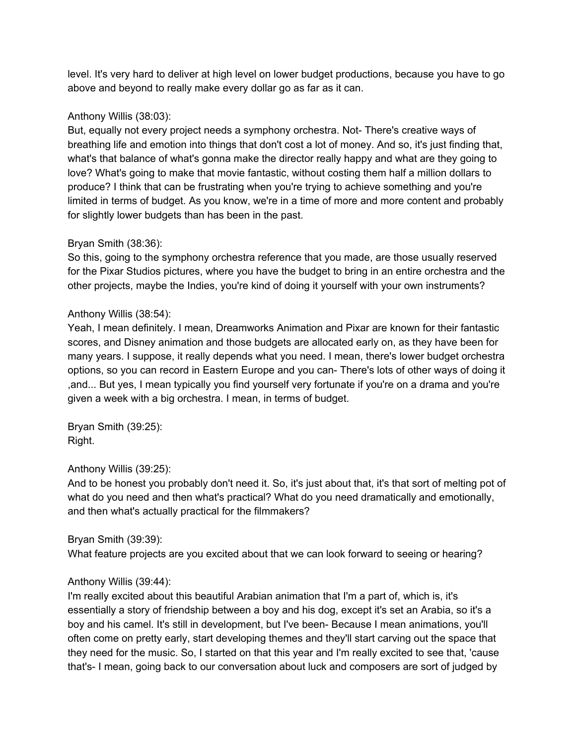level. It's very hard to deliver at high level on lower budget productions, because you have to go above and beyond to really make every dollar go as far as it can.

## Anthony Willis (38:03):

But, equally not every project needs a symphony orchestra. Not- There's creative ways of breathing life and emotion into things that don't cost a lot of money. And so, it's just finding that, what's that balance of what's gonna make the director really happy and what are they going to love? What's going to make that movie fantastic, without costing them half a million dollars to produce? I think that can be frustrating when you're trying to achieve something and you're limited in terms of budget. As you know, we're in a time of more and more content and probably for slightly lower budgets than has been in the past.

## Bryan Smith (38:36):

So this, going to the symphony orchestra reference that you made, are those usually reserved for the Pixar Studios pictures, where you have the budget to bring in an entire orchestra and the other projects, maybe the Indies, you're kind of doing it yourself with your own instruments?

## Anthony Willis (38:54):

Yeah, I mean definitely. I mean, Dreamworks Animation and Pixar are known for their fantastic scores, and Disney animation and those budgets are allocated early on, as they have been for many years. I suppose, it really depends what you need. I mean, there's lower budget orchestra options, so you can record in Eastern Europe and you can- There's lots of other ways of doing it ,and... But yes, I mean typically you find yourself very fortunate if you're on a drama and you're given a week with a big orchestra. I mean, in terms of budget.

Bryan Smith (39:25): Right.

# Anthony Willis (39:25):

And to be honest you probably don't need it. So, it's just about that, it's that sort of melting pot of what do you need and then what's practical? What do you need dramatically and emotionally, and then what's actually practical for the filmmakers?

## Bryan Smith (39:39):

What feature projects are you excited about that we can look forward to seeing or hearing?

# Anthony Willis (39:44):

I'm really excited about this beautiful Arabian animation that I'm a part of, which is, it's essentially a story of friendship between a boy and his dog, except it's set an Arabia, so it's a boy and his camel. It's still in development, but I've been- Because I mean animations, you'll often come on pretty early, start developing themes and they'll start carving out the space that they need for the music. So, I started on that this year and I'm really excited to see that, 'cause that's- I mean, going back to our conversation about luck and composers are sort of judged by